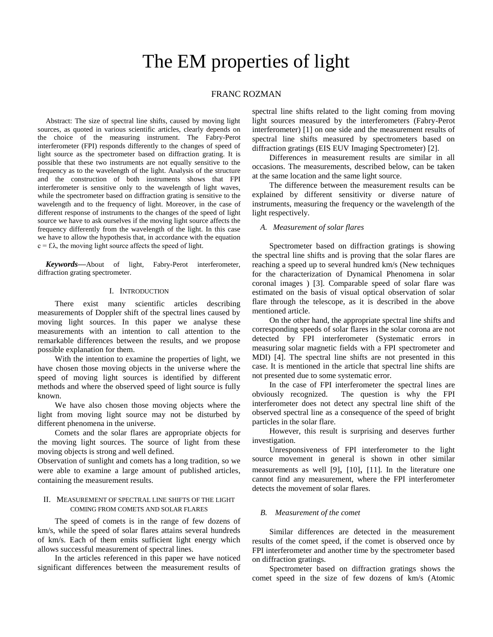# The EM properties of light

# FRANC ROZMAN

Abstract: The size of spectral line shifts, caused by moving light sources, as quoted in various scientific articles, clearly depends on the choice of the measuring instrument. The Fabry-Perot interferometer (FPI) responds differently to the changes of speed of light source as the spectrometer based on diffraction grating. It is possible that these two instruments are not equally sensitive to the frequency as to the wavelength of the light. Analysis of the structure and the construction of both instruments shows that FPI interferometer is sensitive only to the wavelength of light waves, while the spectrometer based on diffraction grating is sensitive to the wavelength and to the frequency of light. Moreover, in the case of different response of instruments to the changes of the speed of light source we have to ask ourselves if the moving light source affects the frequency differently from the wavelength of the light. In this case we have to allow the hypothesis that, in accordance with the equation  $c = f.\lambda$ , the moving light source affects the speed of light.

*Keywords***—**About of light, Fabry-Perot interferometer, diffraction grating spectrometer.

# I. INTRODUCTION

There exist many scientific articles describing measurements of Doppler shift of the spectral lines caused by moving light sources. In this paper we analyse these measurements with an intention to call attention to the remarkable differences between the results, and we propose possible explanation for them.

With the intention to examine the properties of light, we have chosen those moving objects in the universe where the speed of moving light sources is identified by different methods and where the observed speed of light source is fully known.

We have also chosen those moving objects where the light from moving light source may not be disturbed by different phenomena in the universe.

Comets and the solar flares are appropriate objects for the moving light sources. The source of light from these moving objects is strong and well defined.

Observation of sunlight and comets has a long tradition, so we were able to examine a large amount of published articles, containing the measurement results.

# II. MEASUREMENT OF SPECTRAL LINE SHIFTS OF THE LIGHT COMING FROM COMETS AND SOLAR FLARES

The speed of comets is in the range of few dozens of km/s, while the speed of solar flares attains several hundreds of km/s. Each of them emits sufficient light energy which allows successful measurement of spectral lines.

In the articles referenced in this paper we have noticed significant differences between the measurement results of spectral line shifts related to the light coming from moving light sources measured by the interferometers (Fabry-Perot interferometer) [\[1\]](http://knol.google.com/k/franc-rozman/-/z40gwflifouo/9#_edn1) on one side and the measurement results of spectral line shifts measured by spectrometers based on diffraction gratings (EIS EUV Imaging Spectrometer) [\[2\].](http://knol.google.com/k/franc-rozman/-/z40gwflifouo/9#_edn2)

Differences in measurement results are similar in all occasions. The measurements, described below, can be taken at the same location and the same light source.

The difference between the measurement results can be explained by different sensitivity or diverse nature of instruments, measuring the frequency or the wavelength of the light respectively.

## *A. Measurement of solar flares*

Spectrometer based on diffraction gratings is showing the spectral line shifts and is proving that the solar flares are reaching a speed up to several hundred km/s (New techniques for the characterization of Dynamical Phenomena in solar coronal images ) [\[3\].](http://knol.google.com/k/franc-rozman/-/z40gwflifouo/9#_edn3) Comparable speed of solar flare was estimated on the basis of visual optical observation of solar flare through the telescope, as it is described in the above mentioned article.

On the other hand, the appropriate spectral line shifts and corresponding speeds of solar flares in the solar corona are not detected by FPI interferometer (Systematic errors in measuring solar magnetic fields with a FPI spectrometer and MDI) [\[4\].](http://knol.google.com/k/franc-rozman/-/z40gwflifouo/9#_edn4) The spectral line shifts are not presented in this case. It is mentioned in the article that spectral line shifts are not presented due to some systematic error.

In the case of FPI interferometer the spectral lines are obviously recognized. The question is why the FPI interferometer does not detect any spectral line shift of the observed spectral line as a consequence of the speed of bright particles in the solar flare.

However, this result is surprising and deserves further investigation.

Unresponsiveness of FPI interferometer to the light source movement in general is shown in other similar measurements as well [\[9\]](http://knol.google.com/k/franc-rozman/-/z40gwflifouo/9#_edn4), [\[10\]](http://knol.google.com/k/franc-rozman/-/z40gwflifouo/9#_edn4), [\[11\].](http://knol.google.com/k/franc-rozman/-/z40gwflifouo/9#_edn4) In the literature one cannot find any measurement, where the FPI interferometer detects the movement of solar flares.

#### *B. Measurement of the comet*

Similar differences are detected in the measurement results of the comet speed, if the comet is observed once by FPI interferometer and another time by the spectrometer based on diffraction gratings.

Spectrometer based on diffraction gratings shows the comet speed in the size of few dozens of km/s (Atomic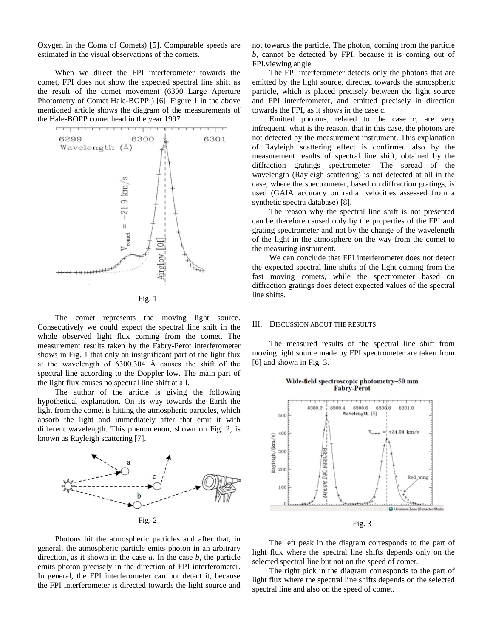Oxygen in the Coma of Comets) [\[5\].](http://knol.google.com/k/franc-rozman/-/z40gwflifouo/9#_edn5) Comparable speeds are estimated in the visual observations of the comets.

When we direct the FPI interferometer towards the comet, FPI does not show the expected spectral line shift as the result of the comet movement (6300 Large Aperture Photometry of Comet Hale-BOPP ) [\[6\].](http://knol.google.com/k/franc-rozman/-/z40gwflifouo/9#_edn6) Figure 1 in the above mentioned article shows the diagram of the measurements of the Hale-BOPP comet head in the year 1997.



Fig. 1

The comet represents the moving light source. Consecutively we could expect the spectral line shift in the whole observed light flux coming from the comet. The measurement results taken by the Fabry-Perot interferometer shows in Fig. 1 that only an insignificant part of the light flux at the wavelength of 6300.304 Å causes the shift of the spectral line according to the Doppler low. The main part of the light flux causes no spectral line shift at all.

The author of the article is giving the following hypothetical explanation. On its way towards the Earth the light from the comet is hitting the atmospheric particles, which absorb the light and immediately after that emit it with different wavelength. This phenomenon, shown on Fig. 2, is known as Rayleigh scattering [\[7\].](http://knol.google.com/k/franc-rozman/-/z40gwflifouo/9#_edn7)



Photons hit the atmospheric particles and after that, in general, the atmospheric particle emits photon in an arbitrary direction, as it shown in the case *a*. In the case *b,* the particle emits photon precisely in the direction of FPI interferometer. In general, the FPI interferometer can not detect it, because the FPI interferometer is directed towards the light source and

not towards the particle, The photon, coming from the particle *b,* cannot be detected by FPI, because it is coming out of FPI.viewing angle.

The FPI interferometer detects only the photons that are emitted by the light source, directed towards the atmospheric particle, which is placed precisely between the light source and FPI interferometer, and emitted precisely in direction towards the FPI, as it shows in the case c.

Emitted photons, related to the case *c,* are very infrequent, what is the reason, that in this case, the photons are not detected by the measurement instrument. This explanation of Rayleigh scattering effect is confirmed also by the measurement results of spectral line shift, obtained by the diffraction gratings spectrometer. The spread of the wavelength (Rayleigh scattering) is not detected at all in the case, where the spectrometer, based on diffraction gratings, is used (GAIA accuracy on radial velocities assessed from a synthetic spectra database) [\[8\].](http://knol.google.com/k/franc-rozman/-/z40gwflifouo/9#_edn8)

The reason why the spectral line shift is not presented can be therefore caused only by the properties of the FPI and grating spectrometer and not by the change of the wavelength of the light in the atmosphere on the way from the comet to the measuring instrument.

We can conclude that FPI interferometer does not detect the expected spectral line shifts of the light coming from the fast moving comets, while the spectrometer based on diffraction gratings does detect expected values of the spectral line shifts.

#### III. DISCUSSION ABOUT THE RESULTS

The measured results of the spectral line shift from moving light source made by FPI spectrometer are taken from [\[6\]](http://knol.google.com/k/franc-rozman/-/z40gwflifouo/9#_edn6) and shown in Fig. 3.

#### Wide-field spectroscopic photometry-50 mm Fabry-Pérot



The left peak in the diagram corresponds to the part of light flux where the spectral line shifts depends only on the selected spectral line but not on the speed of comet.

The right pick in the diagram corresponds to the part of light flux where the spectral line shifts depends on the selected spectral line and also on the speed of comet.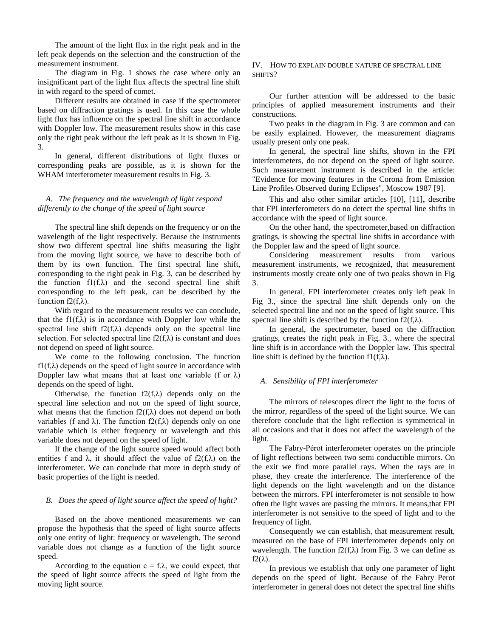The amount of the light flux in the right peak and in the left peak depends on the selection and the construction of the measurement instrument.

The diagram in Fig. 1 shows the case where only an insignificant part of the light flux affects the spectral line shift in with regard to the speed of comet.

Different results are obtained in case if the spectrometer based on diffraction gratings is used. In this case the whole light flux has influence on the spectral line shift in accordance with Doppler low. The measurement results show in this case only the right peak without the left peak as it is shown in Fig. 3.

In general, different distributions of light fluxes or corresponding peaks are possible, as it is shown for the WHAM interferometer measurement results in Fig. 3.

# *A. The frequency and the wavelength of light respond differently to the change of the speed of light source*

The spectral line shift depends on the frequency or on the wavelength of the light respectively. Because the instruments show two different spectral line shifts measuring the light from the moving light source, we have to describe both of them by its own function. The first spectral line shift, corresponding to the right peak in Fig. 3, can be described by the function  $f1(f,\lambda)$  and the second spectral line shift corresponding to the left peak, can be described by the function  $f2(f,\lambda)$ .

With regard to the measurement results we can conclude, that the fl $(f,\lambda)$  is in accordance with Doppler low while the spectral line shift f2(f, $\lambda$ ) depends only on the spectral line selection. For selected spectral line  $f2(f,\lambda)$  is constant and does not depend on speed of light source.

We come to the following conclusion. The function  $f1(f,\lambda)$  depends on the speed of light source in accordance with Doppler law what means that at least one variable (f or  $\lambda$ ) depends on the speed of light.

Otherwise, the function  $f2(f,\lambda)$  depends only on the spectral line selection and not on the speed of light source, what means that the function  $f2(f,\lambda)$  does not depend on both variables (f and  $\lambda$ ). The function f2(f, $\lambda$ ) depends only on one variable which is either frequency or wavelength and this variable does not depend on the speed of light.

If the change of the light source speed would affect both entities f and  $\lambda$ , it should affect the value of f2(f, $\lambda$ ) on the interferometer. We can conclude that more in depth study of basic properties of the light is needed.

#### *B. Does the speed of light source affect the speed of light?*

Based on the above mentioned measurements we can propose the hypothesis that the speed of light source affects only one entity of light: frequency or wavelength. The second variable does not change as a function of the light source speed.

According to the equation  $c = f.\lambda$ , we could expect, that the speed of light source affects the speed of light from the moving light source.

# IV. HOW TO EXPLAIN DOUBLE NATURE OF SPECTRAL LINE SHIFTS?

Our further attention will be addressed to the basic principles of applied measurement instruments and their constructions.

Two peaks in the diagram in Fig. 3 are common and can be easily explained. However, the measurement diagrams usually present only one peak.

In general, the spectral line shifts, shown in the FPI interferometers, do not depend on the speed of light source. Such measurement instrument is described in the article: "Evidence for moving features in the Corona from Emission Line Profiles Observed during Eclipses", Moscow 1987 [\[9\].](http://knol.google.com/k/franc-rozman/-/z40gwflifouo/9#_edn4)

This and also other similar articles [\[10\], \[11\]](http://knol.google.com/k/franc-rozman/-/z40gwflifouo/9#_edn4), describe that FPI interferometers do no detect the spectral line shifts in accordance with the speed of light source.

On the other hand, the spectrometer,based on diffraction gratings, is showing the spectral line shifts in accordance with the Doppler law and the speed of light source.

Considering measurement results from various measurement instruments, we recognized, that measurement instruments mostly create only one of two peaks shown in Fig 3.

In general, FPI interferometer creates only left peak in Fig 3., since the spectral line shift depends only on the selected spectral line and not on the speed of light source. This spectral line shift is described by the function  $f2(f,\lambda)$ .

In general, the spectrometer, based on the diffraction gratings, creates the right peak in Fig. 3., where the spectral line shift is in accordance with the Doppler law. This spectral line shift is defined by the function  $f1(f,\lambda)$ .

# *A. Sensibility of FPI interferometer*

The mirrors of telescopes direct the light to the focus of the mirror, regardless of the speed of the light source. We can therefore conclude that the light reflection is symmetrical in all occasions and that it does not affect the wavelength of the light.

The Fabry-Pérot interferometer operates on the principle of light reflections between two semi conductible mirrors. On the exit we find more parallel rays. When the rays are in phase, they create the interference. The interference of the light depends on the light wavelength and on the distance between the mirrors. FPI interferometer is not sensible to how often the light waves are passing the mirrors. It means,that FPI interferometer is not sensitive to the speed of light and to the frequency of light.

Consequently we can establish, that measurement result, measured on the base of FPI interferometer depends only on wavelength. The function  $f2(f,\lambda)$  from Fig. 3 we can define as  $f2(\lambda)$ .

In previous we establish that only one parameter of light depends on the speed of light. Because of the Fabry Perot interferometer in general does not detect the spectral line shifts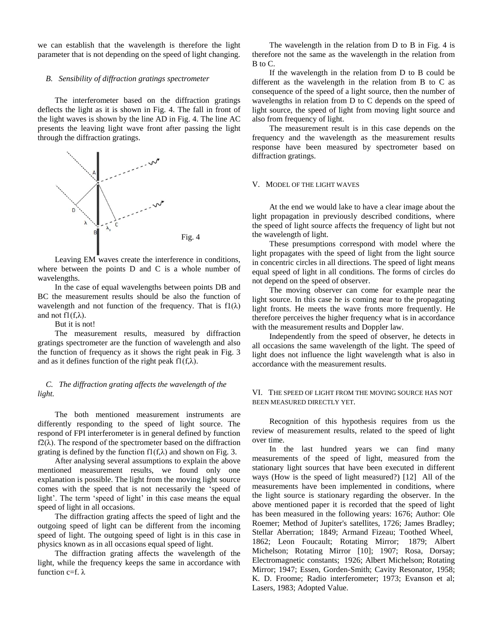we can establish that the wavelength is therefore the light parameter that is not depending on the speed of light changing.

## *B. Sensibility of diffraction gratings spectrometer*

The interferometer based on the diffraction gratings deflects the light as it is shown in Fig. 4. The fall in front of the light waves is shown by the line AD in Fig. 4. The line AC presents the leaving light wave front after passing the light through the diffraction gratings.



Leaving EM waves create the interference in conditions, where between the points D and C is a whole number of wavelengths.

In the case of equal wavelengths between points DB and BC the measurement results should be also the function of wavelength and not function of the frequency. That is  $f1(\lambda)$ and not  $f1(f,\lambda)$ .

But it is not!

The measurement results, measured by diffraction gratings spectrometer are the function of wavelength and also the function of frequency as it shows the right peak in Fig. 3 and as it defines function of the right peak f $1(f,\lambda)$ .

# *C. The diffraction grating affects the wavelength of the light.*

The both mentioned measurement instruments are differently responding to the speed of light source. The respond of FPI interferometer is in general defined by function  $f2(\lambda)$ . The respond of the spectrometer based on the diffraction grating is defined by the function  $f(x)$  and shown on Fig. 3.

After analysing several assumptions to explain the above mentioned measurement results, we found only one explanation is possible. The light from the moving light source comes with the speed that is not necessarily the 'speed of light'. The term 'speed of light' in this case means the equal speed of light in all occasions.

The diffraction grating affects the speed of light and the outgoing speed of light can be different from the incoming speed of light. The outgoing speed of light is in this case in physics known as in all occasions equal speed of light.

The diffraction grating affects the wavelength of the light, while the frequency keeps the same in accordance with function c=f.  $λ$ 

The wavelength in the relation from D to B in Fig. 4 is therefore not the same as the wavelength in the relation from B to C.

If the wavelength in the relation from D to B could be different as the wavelength in the relation from B to C as consequence of the speed of a light source, then the number of wavelengths in relation from D to C depends on the speed of light source, the speed of light from moving light source and also from frequency of light.

The measurement result is in this case depends on the frequency and the wavelength as the measurement results response have been measured by spectrometer based on diffraction gratings.

# V. MODEL OF THE LIGHT WAVES

At the end we would lake to have a clear image about the light propagation in previously described conditions, where the speed of light source affects the frequency of light but not the wavelength of light.

These presumptions correspond with model where the light propagates with the speed of light from the light source in concentric circles in all directions. The speed of light means equal speed of light in all conditions. The forms of circles do not depend on the speed of observer.

The moving observer can come for example near the light source. In this case he is coming near to the propagating light fronts. He meets the wave fronts more frequently. He therefore perceives the higher frequency what is in accordance with the measurement results and Doppler law.

Independently from the speed of observer, he detects in all occasions the same wavelength of the light. The speed of light does not influence the light wavelength what is also in accordance with the measurement results.

# VI. THE SPEED OF LIGHT FROM THE MOVING SOURCE HAS NOT BEEN MEASURED DIRECTLY YET.

Recognition of this hypothesis requires from us the review of measurement results, related to the speed of light over time.

In the last hundred years we can find many measurements of the speed of light, measured from the stationary light sources that have been executed in different ways (How is the speed of light measured?) [\[12\]](http://knol.google.com/k/franc-rozman/-/z40gwflifouo/9#_edn9) All of the measurements have been implemented in conditions, where the light source is stationary regarding the observer. In the above mentioned paper it is recorded that the speed of light has been measured in the following years: 1676; Author: Ole Roemer; Method of Jupiter's satellites, 1726; James Bradley; Stellar Aberration; 1849; Armand Fizeau; Toothed Wheel, 1862; Leon Foucault; Rotating Mirror; 1879; Albert Michelson; Rotating Mirror [\[10\];](http://knol.google.com/k/franc-rozman/-/z40gwflifouo/9#_edn10) 1907; Rosa, Dorsay; Electromagnetic constants; 1926; Albert Michelson; Rotating Mirror; 1947; Essen, Gorden-Smith; Cavity Resonator, 1958; K. D. Froome; Radio interferometer; 1973; Evanson et al; Lasers, 1983; Adopted Value.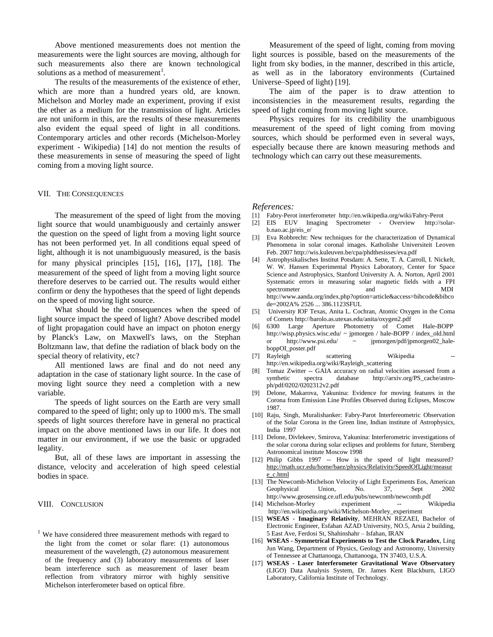Above mentioned measurements does not mention the measurements were the light sources are moving, although for such measurements also there are known technological solutions as a method of measurement<sup>1</sup>.

The results of the measurements of the existence of ether, which are more than a hundred years old, are known. Michelson and Morley made an experiment, proving if exist the ether as a medium for the transmission of light. Articles are not uniform in this, are the results of these measurements also evident the equal speed of light in all conditions. Contemporary articles and other records (Michelson-Morley experiment - Wikipedia) [\[14\]](http://knol.google.com/k/franc-rozman/-/z40gwflifouo/9#_edn11) do not mention the results of these measurements in sense of measuring the speed of light coming from a moving light source.

# VII. THE CONSEQUENCES

The measurement of the speed of light from the moving light source that would unambiguously and certainly answer the question on the speed of light from a moving light source has not been performed yet. In all conditions equal speed of light, although it is not unambiguously measured, is the basis for many physical principles [\[15\]](http://knol.google.com/k/franc-rozman/-/z40gwflifouo/9#_edn12), [\[16\]](http://knol.google.com/k/franc-rozman/-/z40gwflifouo/9#_edn12), [\[17\]](http://knol.google.com/k/franc-rozman/-/z40gwflifouo/9#_edn12), [\[18\].](http://knol.google.com/k/franc-rozman/-/z40gwflifouo/9#_edn12) The measurement of the speed of light from a moving light source therefore deserves to be carried out. The results would either confirm or deny the hypotheses that the speed of light depends on the speed of moving light source.

What should be the consequences when the speed of light source impact the speed of light? Above described model of light propagation could have an impact on photon energy by Planck's Law, on Maxwell's laws, on the Stephan Boltzmann law, that define the radiation of black body on the special theory of relativity, etc?

All mentioned laws are final and do not need any adaptation in the case of stationary light source. In the case of moving light source they need a completion with a new variable.

The speeds of light sources on the Earth are very small compared to the speed of light; only up to 1000 m/s. The small speeds of light sources therefore have in general no practical impact on the above mentioned laws in our life. It does not matter in our environment, if we use the basic or upgraded legality.

But, all of these laws are important in assessing the distance, velocity and acceleration of high speed celestial bodies in space.

# VIII. CONCLUSION

 $1$  We have considered three measurement methods with regard to the light from the comet or solar flare: (1) autonomous measurement of the wavelength, (2) autonomous measurement of the frequency and (3) laboratory measurements of laser beam interference such as measurement of laser beam reflection from vibratory mirror with highly sensitive Michelson interferometer based on optical fibre.

Measurement of the speed of light, coming from moving light sources is possible, based on the measurements of the light from sky bodies, in the manner, described in this article, as well as in the laboratory environments (Curtained Universe–Speed of light) [\[19\].](http://knol.google.com/k/franc-rozman/-/z40gwflifouo/9#_edn12)

The aim of the paper is to draw attention to inconsistencies in the measurement results, regarding the speed of light coming from moving light source.

Physics requires for its credibility the unambiguous measurement of the speed of light coming from moving sources, which should be performed even in several ways, especially because there are known measuring methods and technology which can carry out these measurements.

#### *References:*

- [1] Fabry-Perot interferometer <http://en.wikipedia.org/wiki/Fabry-Perot>
- [2] EIS EUV Imaging Spectrometer Overview [http://solar](http://solar-b.nao.ac.jp/eis_e/)[b.nao.ac.jp/eis\\_e/](http://solar-b.nao.ac.jp/eis_e/)
- [3] Eva Robbrecht: New techniques for the characterization of Dynamical Phenomena in solar coronal images. Katholishe Universiteit Leoven Feb. 200[7 http://wis.kuleuven.be/cpa/phdthesisses/eva.pdf](http://wis.kuleuven.be/cpa/phdthesisses/eva.pdf)
- [4] Astrophysikalisches Institut Potsdam: A. Sette, T. A. Carroll, I. Nickelt, W. W. Hansen Experimental Physics Laboratory, Center for Space Science and Astrophysics, Stanford University A. A. Norton, April 2001 Systematic errors in measuring solar magnetic fields with a FPI spectrometer and and MDI [http://www.aanda.org/index.php?option=article&access=bibcode&bibco](http://www.aanda.org/index.php?option=article&access=bibcode&bibcode=2002A%2526A...386.1123SFUL) [de=2002A% 2526 ... 386.1123SFUL](http://www.aanda.org/index.php?option=article&access=bibcode&bibcode=2002A%2526A...386.1123SFUL)
- [5] University IOF Texas, Anita L. Cochran, Atomic Oxygen in the Coma of Comet[s http://barolo.as.utexas.edu/anita/oxygen2.pdf](http://barolo.as.utexas.edu/anita/oxygen2.pdf)
- [6] 6300 Large Aperture Photometry of Comet Hale-BOPP [http://wisp.physics.wisc.edu/ ~ jpmorgen / hale-BOPP / index\\_old.html](http://wisp.physics.wisc.edu/~jpmorgen/hale-bopp/index_old.html) or [http://www.psi.edu/ ~ jpmorgen/pdf/jpmorgen02\\_hale](http://www.psi.edu/~jpmorgen/pdf/jpmorgen02_hale-boppOI_poster.pdf)[boppOI\\_poster.pdf](http://www.psi.edu/~jpmorgen/pdf/jpmorgen02_hale-boppOI_poster.pdf)
- [7] Rayleigh scattering Wikipedia [http://en.wikipedia.org/wiki/Rayleigh\\_scattering](http://en.wikipedia.org/wiki/Rayleigh_scattering)
- [8] Tomaz Zwitter -- GAIA accuracy on radial velocities assessed from a synthetic spectra database [http://arxiv.org/PS\\_cache/astro](http://arxiv.org/PS_cache/astro-ph/pdf/0202/0202312v2.pdf)[ph/pdf/0202/0202312v2.pdf](http://arxiv.org/PS_cache/astro-ph/pdf/0202/0202312v2.pdf)
- [9] Delone, Makarova, Yakunina: Evidence for moving features in the Corona from Emission Line Profiles Observed during Eclipses, Moscow 1987.
- [10] Raju, Singh, Muralishanker: Fabry-Parot Interfereometric Observation of the Solar Corona in the Green line, Indian institute of Astrophysics, India 1997
- [11] Delone, Divlekeev, Smirova, Yakunina: Interferometric investigations of the solar corona during solar eclipses and problems for future, Sternberg Astronomical institute Moscow 1998
- [12] Philip Gibbs 1997 -- How is the speed of light measured? [http://math.ucr.edu/home/baez/physics/Relativity/SpeedOfLight/measur](http://math.ucr.edu/home/baez/physics/Relativity/SpeedOfLight/measure_c.html) [e\\_c.html](http://math.ucr.edu/home/baez/physics/Relativity/SpeedOfLight/measure_c.html)
- [13] The Newcomb-Michelson Velocity of Light Experiments Eos, American Geophysical Union, No. 37, Sept 2002 <http://www.geosensing.ce.ufl.edu/pubs/newcomb/newcomb.pdf>
- [14] Michelson-Morley experiment -- Wikipedia [http://en.wikipedia.org/wiki/Michelson-Morley\\_experiment](http://en.wikipedia.org/wiki/Michelson-Morley_experiment)
- [15] **WSEAS Imaginary Relativity**, MEHRAN REZAEI, Bachelor of Electronic Engineer, Esfahan AZAD University, NO.5, Arsia 2 building, 5 East Ave, Ferdosi St, Shahinshahr – Isfahan, IRAN
- [16] **WSEAS - Symmetrical Experiments to Test the Clock Paradox**, Ling Jun Wang, Department of Physics, Geology and Astronomy, University of Tennessee at Chattanooga, Chattanooga, TN 37403, U.S.A.
- [17] **WSEAS - Laser Interferometer Gravitational Wave Observatory** (LIGO) Data Analysis System, Dr. James Kent Blackburn, LIGO Laboratory, California Institute of Technology.